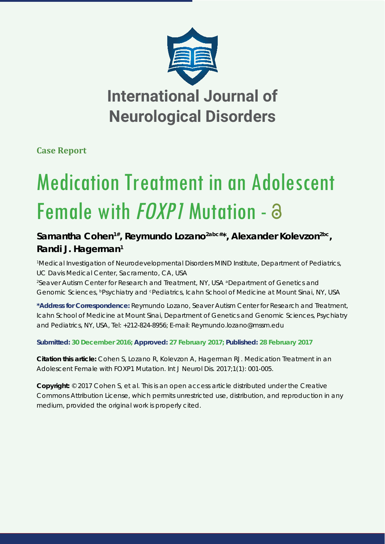

**Case Report**

# Medication Treatment in an Adolescent Female with *FOXP1* Mutation -  $\partial$

### Samantha Cohen<sup>1#</sup>, Reymundo Lozano<sup>2abc#\*</sup>, Alexander Koleyzon<sup>2bc</sup>, **Randi J. Hagerman1**

*1 Medical Investigation of Neurodevelopmental Disorders MIND Institute, Department of Pediatrics, UC Davis Medical Center, Sacramento, CA, USA 2 Seaver Autism Center for Research and Treatment, NY, USA aDepartment of Genetics and* 

*Genomic Sciences, bPsychiatry and cPediatrics, Icahn School of Medicine at Mount Sinai, NY, USA*

**\*Address for Correspondence:** Reymundo Lozano, Seaver Autism Center for Research and Treatment, Icahn School of Medicine at Mount Sinai, Department of Genetics and Genomic Sciences, Psychiatry and Pediatrics, NY, USA, Tel: +212-824-8956; E-mail: Reymundo.lozano@mssm.edu

**Submitted: 30 December 2016; Approved: 27 February 2017; Published: 28 February 2017**

**Citation this article:** Cohen S, Lozano R, Kolevzon A, Hagerman RJ. Medication Treatment in an Adolescent Female with *FOXP1* Mutation. Int J Neurol Dis. 2017;1(1): 001-005.

**Copyright:** © 2017 Cohen S, et al. This is an open access article distributed under the Creative Commons Attribution License, which permits unrestricted use, distribution, and reproduction in any medium, provided the original work is properly cited.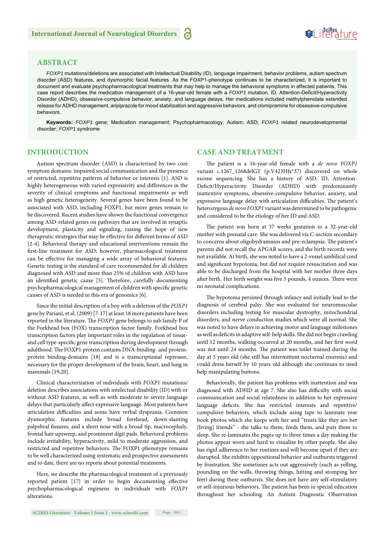## **SeiRes** ture

#### **ABSTRACT**

*FOXP1* mutations/deletions are associated with Intellectual Disability (ID), language impairment, behavior problems, autism spectrum disorder (ASD) features, and dysmorphic facial features. As the FOXP1-phenotype continues to be characterized, it is important to document and evaluate psychopharmacological treatments that may help to manage the behavioral symptoms in affected patients. This case report describes the medication management of a 16-year-old female with a *FOXP1* mutation, ID, Attention-Deficit/Hyperactivity Disorder (ADHD), obsessive-compulsive behavior, anxiety, and language delays. Her medications included methylphenidate extended release for ADHD management, aripiprazole for mood stabilization and aggressive behaviors, and clomipramine for obsessive-compulsive behaviors.

**Keywords:** *FOXP1* gene; Medication management; Psychopharmacology; Autism; ASD; *FOXP1* related neurodevelopmental disorder; *FOXP1* syndrome

#### **INTRODUCTION**

Autism spectrum disorder (ASD) is characterized by two core symptom domains: impaired social communication and the presence of restricted, repetitive patterns of behavior or interests [1]. ASD is highly heterogeneous with varied expressivity and differences in the severity of clinical symptoms and functional impairments as well as high genetic heterogeneity. Several genes have been found to be associated with ASD, including FOXP1, but more genes remain to be discovered. Recent studies have shown the functional convergence among ASD-related genes on pathways that are involved in synaptic development, plasticity and signaling, raising the hope of new therapeutic strategies that may be effective for different forms of ASD [2-4]. Behavioral therapy and educational interventions remain the first-line treatment for ASD; however, pharmacological treatment can be effective for managing a wide array of behavioral features. Genetic testing is the standard of care recommended for all children diagnosed with ASD and more than 25% of children with ASD have an identified genetic cause [5]. Therefore, carefully documenting psychopharmacological management of children with specific genetic causes of ASD is needed in this era of genomics [6].

Since the initial description of a boy with a deletion of the *FOXP1*  gene by Pariani, et al. (2009) [7-17] at least 18 more patients have been reported in the literature. The *FOXP1* gene belongs to sub family P of the Forkhead box (FOX) transcription factor family. Forkhead box transcription factors play important roles in the regulation of tissueand cell type-specific gene transcription during development through adulthood. The FOXP1 protein contains DNA-binding- and proteinprotein binding-domains [18] and is a transcriptional repressor, necessary for the proper development of the brain, heart, and lung in mammals [19,20].

Clinical characterization of individuals with *FOXP1* mutations/ deletion describes associations with intelectual disability (ID) with or without ASD features, as well as with moderate to severe language delays that particularly affect expressive language. Most patients have articulation difficulties and some have verbal dyspraxia. Common dysmorphic features include broad forehead, down-slanting palpebral fissures, and a short nose with a broad tip, macrocephaly, frontal hair upsweep, and prominent digit pads. Behavioral problems include irritability, hyperactivity, mild to moderate aggression, and restricted and repetitive behaviors. The FOXP1-phenotype remains to be well characterized using systematic and prospective assessments and to date, there are no reports about potential treatments.

Here, we describe the pharmacological treatment of a previously reported patient [17] in order to begin documenting effective psychopharmacological regimens in individuals with *FOXP1* alterations.

#### **CASE AND TREATMENT**

The patient is a 16-year-old female with a *de novo FOXP1* variant c.1267\_1268delGT (p.V423Hfs\*37) discovered on whole exome sequencing. She has a history of ASD, ID, Attention-Deficit/Hyperactivity Disorder (ADHD) with predominantly inattentive symptoms, obsessive-compulsive behavior, anxiety, and expressive language delay with articulation difficulties. The patient's heterozygous *de novo FOXP1* variant was determined to be pathogenic and considered to be the etiology of her ID and ASD.

The patient was born at 37 weeks gestation to a 32-year-old mother with prenatal care. She was delivered via C-section secondary to concerns about oligohydramnios and pre-eclampsia. The patient's parents did not recall the APGAR scores, and the birth records were not available. At birth, she was noted to have a 2-vessel umbilical cord and significant hypotonia, but did not require resuscitation and was able to be discharged from the hospital with her mother three days after birth. Her birth weight was five 5 pounds, 4 ounces. There were no neonatal complications.

The hypotonia persisted through infancy and initially lead to the diagnosis of cerebral palsy. She was evaluated for neuromuscular disorders including testing for muscular dystrophy, mitochondrial disorders, and nerve conduction studies which were all normal. She was noted to have delays in achieving motor and language milestones as well as deficits in adaptive self-help skills. She did not begin crawling until 12 months, walking occurred at 20 months, and her first word was not until 24 months. The patient was toilet trained during the day at 5 years old (she still has intermittent nocturnal enuresis) and could dress herself by 10 years old although she continues to need help manipulating buttons.

Behaviorally, the patient has problems with inattention and was diagnosed with ADHD at age 7. She also has difficulty with social communication and social relatedness in addition to her expressive language deficits. She has restricted interests and repetitive/ compulsive behaviors, which include using tape to laminate year book photos which she keeps with her and "treats like they are her [living] friends" - she talks to them, feeds them, and puts them to sleep. She re-laminates the pages up to three times a day making the photos appear worn and hard to visualize by other people. She also has rigid adherence to her routines and will become upset if they are disrupted. She exhibits oppositional behavior and outbursts triggered by frustration. She sometimes acts out aggressively (such as yelling, pounding on the walls, throwing things, hitting and stomping her feet) during these outbursts. She does not have any self-stimulatory or self-injurious behaviors. The patient has been in special education throughout her schooling. An Autism Diagnostic Observation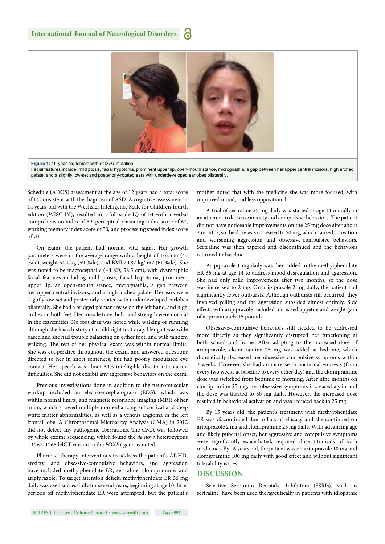

**Figure 1:** 15-year-old female with *FOXP1* mutation.

Facial features include: mild ptosis, facial hypotonia, prominent upper lip, open-mouth stance, micrognathia, a gap between her upper central incisors, high arched palate, and a slightly low-set and posteriorly-rotated ears with underdeveloped earlobes bilaterally.

Schedule (ADOS) assessment at the age of 12 years had a total score of 14 consistent with the diagnosis of ASD. A cognitive assessment at 14 years-old with the Wechsler Intelligence Scale for Children-fourth edition (WISC-IV), resulted in a full-scale IQ of 54 with a verbal comprehension index of 59, perceptual reasoning index score of 67, working memory index score of 50, and processing speed index score of 70.

On exam, the patient had normal vital signs. Her growth parameters were in the average range with a height of 162 cm (47 %ile), weight 54.4 kg (59 %ile), and BMI 20.87 kg/ m2 (61 %ile). She was noted to be macrocephalic (+4 SD; 58.5 cm), with dysmorphic facial features including mild ptosis, facial hypotonia, prominent upper lip, an open-mouth stance, micrognathia, a gap between her upper central incisors, and a high arched palate. Her ears were slightly low-set and posteriorly rotated with underdeveloped earlobes bilaterally. She had a bridged palmar crease on the left hand, and high arches on both feet. Her muscle tone, bulk, and strength were normal in the extremities. No foot drag was noted while walking or running although she has a history of a mild right foot drag. Her gait was wide based and she had trouble balancing on either foot, and with tandem walking. The rest of her physical exam was within normal limits. She was cooperative throughout the exam, and answered questions directed to her in short sentences, but had poorly modulated eye contact. Her speech was about 50% intelligible due to articulation difficulties. She did not exhibit any aggressive behaviors on the exam.

Previous investigations done in addition to the neuromuscular workup included an electroencephalogram (EEG), which was within normal limits, and magnetic resonance imaging (MRI) of her brain, which showed multiple non-enhancing subcortical and deep white matter abnormalities, as well as a venous angioma in the left frontal lobe. A Chromosomal Microarray Analysis (CMA) in 2012 did not detect any pathogenic aberrations. The CMA was followed by whole exome sequencing, which found the *de novo* heterozygous c.1267\_1268delGT variant in the *FOXP1* gene as noted.

Pharmacotherapy interventions to address the patient's ADHD, anxiety, and obsessive-compulsive behaviors, and aggression have included methylphenidate ER, sertraline, clomipramine, and aripiprazole. To target attention deficit, methylphenidate ER 36 mg daily was used successfully for several years, beginning at age 10. Brief periods off methylphenidate ER were attempted, but the patient's mother noted that with the medicine she was more focused, with improved mood, and less oppositional.

A trial of sertraline 25 mg daily was started at age 14 initially in an attempt to decrease anxiety and compulsive behaviors. The patient did not have noticeable improvements on the 25 mg dose after about 2 months, so the dose was increased to 50 mg, which caused activation and worsening aggression and obsessive-compulsive behaviors. Sertraline was then tapered and discontinued and the behaviors returned to baseline.

Aripiprazole 1 mg daily was then added to the methylphenidate ER 36 mg at age 14 to address mood dysregulation and aggression. She had only mild improvement after two months, so the dose was increased to 2 mg. On aripiprazole 2 mg daily, the patient had significantly fewer outbursts. Although outbursts still occurred, they involved yelling and the aggression subsided almost entirely. Side effects with aripiprazole included increased appetite and weight gain of approximately 15 pounds.

Obsessive-compulsive behaviors still needed to be addressed more directly as they significantly disrupted her functioning at both school and home. After adapting to the increased dose of aripiprazole, clomipramine 25 mg was added at bedtime, which dramatically decreased her obsessive-compulsive symptoms within 2 weeks. However, she had an increase in nocturnal enuresis (from every two weeks at baseline to every other day) and the clomipramine dose was switched from bedtime to morning. After nine months on clomipramine 25 mg, her obsessive symptoms increased again and the dose was titrated to 50 mg daily. However, the increased dose resulted in behavioral activation and was reduced back to 25 mg.

By 15 years old, the patient's treatment with methylphenidate ER was discontinued due to lack of efficacy and she continued on aripiprazole 2 mg and clomipramine 25 mg daily. With advancing age and likely pubertal onset, her aggressive and compulsive symptoms were significantly exacerbated, required dose titrations of both medicines. By 16 years old, the patient was on aripiprazole 10 mg and clomipramine 100 mg daily with good effect and without significant tolerability issues.

#### **DISCUSSION**

Selective Serotonin Reuptake Inhibitors (SSRIs), such as sertraline, have been used therapeutically in patients with idiopathic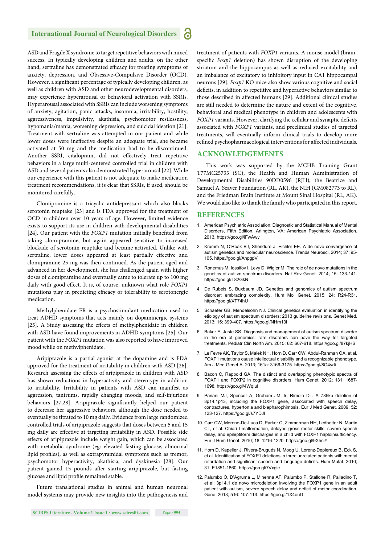#### **International Journal of Neurological Disorders**

ASD and Fragile X syndrome to target repetitive behaviors with mixed success. In typically developing children and adults, on the other hand, sertraline has demonstrated efficacy for treating symptoms of anxiety, depression, and Obsessive-Compulsive Disorder (OCD). However, a significant percentage of typically developing children, as well as children with ASD and other neurodevelopmental disorders, may experience hyperarousal or behavioral activation with SSRIs. Hyperarousal associated with SSRIs can include worsening symptoms of anxiety, agitation, panic attacks, insomnia, irritability, hostility, aggressiveness, impulsivity, akathisia, psychomotor restlessness, hypomania/mania, worsening depression, and suicidal ideation [21]. Treatment with sertraline was attempted in our patient and while lower doses were ineffective despite an adequate trial, she became activated at 50 mg and the medication had to be discontinued. Another SSRI, citalopram, did not effectively treat repetitive behaviors in a large multi-centered controlled trial in children with ASD and several patients also demonstrated hyperarousal [22]. While our experience with this patient is not adequate to make medication treatment recommendations, it is clear that SSRIs, if used, should be monitored carefully.

Clomipramine is a tricyclic antidepressant which also blocks serotonin reuptake [23] and is FDA approved for the treatment of OCD in children over 10 years of age. However, limited evidence exists to support its use in children with developmental disabilities [24]. Our patient with the *FOXP1* mutation initially benefited from taking clomipramine, but again appeared sensitive to increased blockade of serotonin reuptake and became activated. Unlike with sertraline, lower doses appeared at least partially effective and clomipramine 25 mg was then continued. As the patient aged and advanced in her development, she has challenged again with higher doses of clomipramine and eventually came to tolerate up to 100 mg daily with good effect. It is, of course, unknown what role *FOXP1* mutations play in predicting efficacy or tolerability to serotonergic medication.

Methylphenidate ER is a psychostimulant medication used to treat ADHD symptoms that acts mainly on dopaminergic systems [25]. A Study assessing the effects of methylphenidate in children with ASD have found improvements in ADHD symptoms [25]. Our patient with the *FOXP1* mutation was also reported to have improved mood while on methylphenidate.

Aripiprazole is a partial agonist at the dopamine and is FDA approved for the treatment of irritability in children with ASD [26]. Research assessing the effects of aripiprazole in children with ASD has shown reductions in hyperactivity and stereotypy in addition to irritability. Irritability in patients with ASD can manifest as aggression, tantrums, rapidly changing moods, and self-injurious behaviors [27,28]. Aripiprazole significantly helped our patient to decrease her aggressive behaviors, although the dose needed to eventually be titrated to 10 mg daily. Evidence from large randomized controlled trials of aripiprazole suggests that doses between 5 and 15 mg daily are effective at targeting irritability in ASD. Possible side effects of aripiprazole include weight gain, which can be associated with metabolic syndrome (eg: elevated fasting glucose, abnormal lipid profiles), as well as extrapyramidal symptoms such as tremor, psychomotor hyperactivity, akathisia, and dyskinesia [28]. Our patient gained 15 pounds after starting aripiprazole, but fasting glucose and lipid profile remained stable.

Future translational studies in animal and human neuronal model systems may provide new insights into the pathogenesis and

treatment of patients with *FOXP1* variants. A mouse model (brainspecific *Foxp1* deletion) has shown disruption of the developing striatum and the hippocampus as well as reduced excitability and an imbalance of excitatory to inhibitory input in CA1 hippocampal neurons [29]. *Foxp1* KO mice also show various cognitive and social deficits, in addition to repetitive and hyperactive behaviors similar to those described in affected humans [29]. Additional clinical studies are still needed to determine the nature and extent of the cognitive, behavioral and medical phenotype in children and adolescents with *FOXP1* variants. However, clarifying the cellular and synaptic deficits associated with *FOXP1* variants, and preclinical studies of targeted treatments, will eventually inform clinical trials to develop more refined psychopharmacological interventions for affected individuals.

#### **ACKNOWLEDGEMENTS**

This work was supported by the MCHB Training Grant T77MC25733 (SC), the Health and Human Administration of Developmental Disabilities 90DD0596 (RJH), the Beatrice and Samuel A. Seaver Foundation (RL, AK), the NIH (GM082773 to RL), and the Friedman Brain Institute at Mount Sinai Hospital (RL, AK). We would also like to thank the family who participated in this report.

#### **REFERENCES**

- 1. American Psychiatric Association: Diagnostic and Statistical Manual of Mental Disorders, Fifth Edition. Arlington, VA: American Psychiatric Association. 2013. https://goo.gl/iFwAwy
- 2. Krumm N, O'Roak BJ, Shendure J, Eichler EE. A de novo convergence of autism genetics and molecular neuroscience. Trends Neurosci. 2014; 37: 95- 105. https://goo.gl/AnpgpV
- 3. Ronemus M, Iossifov I, Levy D, Wigler M. The role of de novo mutations in the genetics of autism spectrum disorders. Nat Rev Genet. 2014; 15: 133-141. https://goo.gl/T82GkN
- 4. De Rubeis S, Buxbaum JD, Genetics and genomics of autism spectrum disorder: embracing complexity. Hum Mol Genet. 2015; 24: R24-R31. https://goo.gl/XT74hU
- 5. Schaefer GB, Mendelsohn NJ. Clinical genetics evaluation in identifying the etiology of autism spectrum disorders: 2013 guideline revisions. Genet Med. 2013; 15: 399-407. https://goo.gl/NHm13i
- 6. Baker E, Jeste SS. Diagnosis and management of autism spectrum disorder in the era of genomics: rare disorders can pave the way for targeted treatments. Pediatr Clin North Am. 2015; 62: 607-618. https://goo.gl/87kjHS
- 7. Le Fevre AK, Taylor S, Malek NH, Horn D, Carr CW, Abdul-Rahman OA, et al. FOXP1 mutations cause intellectual disability and a recognizable phenotype. Am J Med Genet A. 2013; 161a: 3166-3175. https://goo.gl/8O4ydi
- 8. Bacon C, Rappold GA. The distinct and overlapping phenotypic spectra of FOXP1 and FOXP2 in cognitive disorders. Hum Genet. 2012; 131: 1687- 1698. https://goo.gl/4WqIul
- 9. Pariani MJ, Spencer A, Graham JM Jr, Rimoin DL. A 785kb deletion of 3p14.1p13, including the FOXP1 gene, associated with speech delay, contractures, hypertonia and blepharophimosis. Eur J Med Genet. 2009; 52: 123-127. https://goo.gl/s7YDJl
- 10. Carr CW, Moreno-De-Luca D, Parker C, Zimmerman HH, Ledbetter N, Martin CL, et al. Chiari I malformation, delayed gross motor skills, severe speech delay, and epileptiform discharges in a child with FOXP1 haploinsufficiency. Eur J Hum Genet. 2010; 18: 1216-1220. https://goo.gl/9XhciY
- 11. Horn D, Kapeller J, Rivera-Brugués N, Moog U, Lorenz-Depiereux B, Eck S, et al. Identification of FOXP1 deletions in three unrelated patients with mental retardation and significant speech and language deficits. Hum Mutat. 2010; 31: E1851-1860. https://goo.gl/7Vxgie
- 12. Palumbo O, D'Agruma L, Minenna AF, Palumbo P, Stallone R, Palladino T, et al. 3p14.1 de novo microdeletion involving the FOXP1 gene in an adult patient with autism, severe speech delay and deficit of motor coordination. Gene. 2013; 516: 107-113. https://goo.gl/1X4ouD